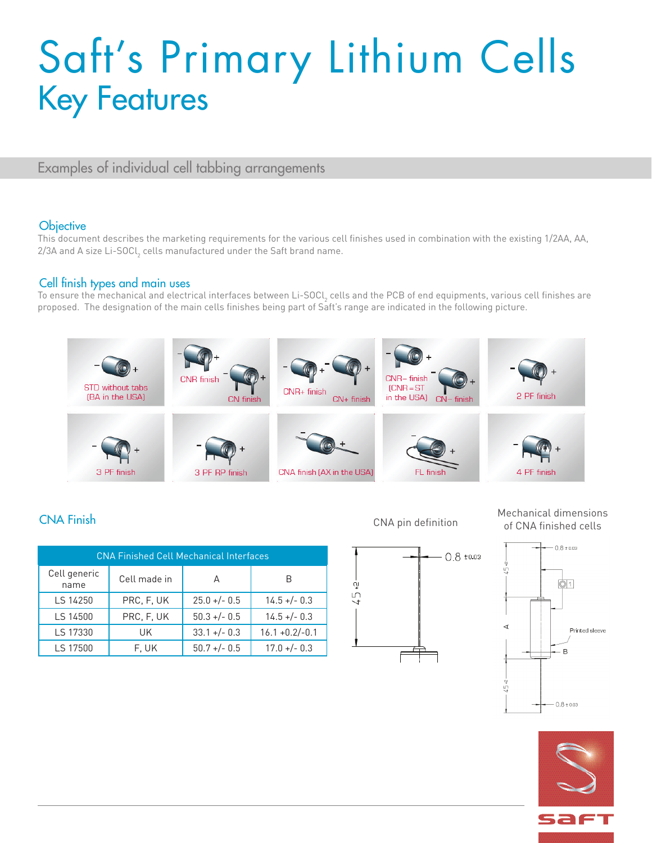## Saft's Primary Lithium Cells Key Features

Examples of individual cell tabbing arrangements

#### **Objective**

This document describes the marketing requirements for the various cell finishes used in combination with the existing 1/2AA, AA, 2/3A and A size Li-SOCl $_{\textrm{\tiny{2}}}$  cells manufactured under the Saft brand name.

#### Cell finish types and main uses

To ensure the mechanical and electrical interfaces between Li-SOCl<sub>2</sub> cells and the PCB of end equipments, various cell finishes are proposed. The designation of the main cells finishes being part of Saft's range are indicated in the following picture.



្នុ

 $\frac{1}{2}$ 

|                      | <b>CNA Finished Cell Mechanical Interfaces</b> |                |                   |
|----------------------|------------------------------------------------|----------------|-------------------|
| Cell generic<br>name | Cell made in                                   |                |                   |
| LS 14250             | PRC, F, UK                                     | $25.0 +/- 0.5$ | $14.5 + - 0.3$    |
| LS 14500             | PRC, F, UK                                     | $50.3 + - 0.5$ | $14.5 + - 0.3$    |
| LS 17330             | UK                                             | $33.1 +/- 0.3$ | $16.1 + 0.2/-0.1$ |
| LS 17500             | F. UK                                          | $50.7 +/- 0.5$ | $17.0 +/- 0.3$    |



 $0.8 \pm 0.03$ 

CNA Finish Mechanical dimensions and CNA Finish Mechanical dimensions of CNA Finish Mechanical dimensions of CNA  $\frac{1}{2}$ CNA pin definition of CNA finished cells



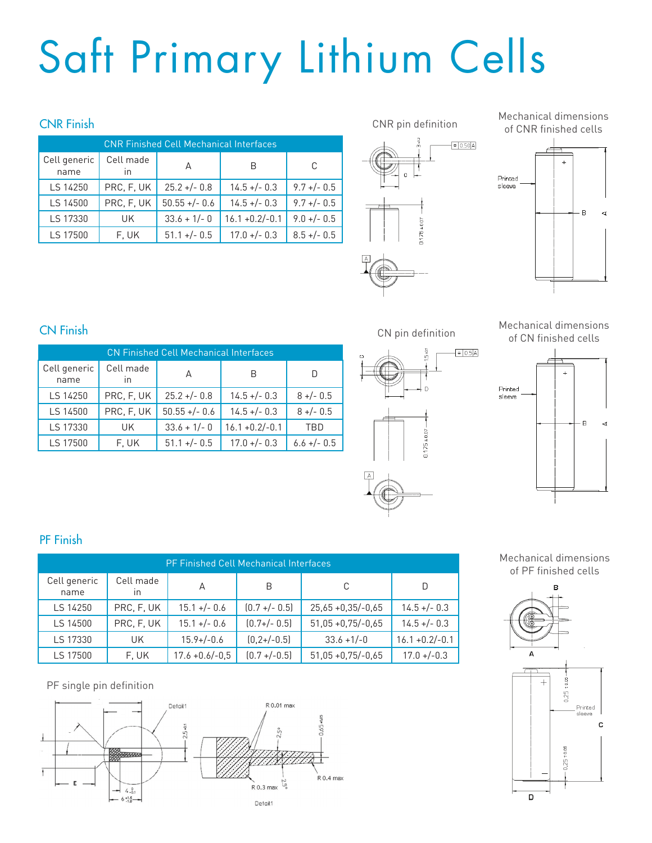# Saft Primary Lithium Cells

|                      | <b>CNR Finished Cell Mechanical Interfaces</b> |                 |                   |                |  |
|----------------------|------------------------------------------------|-----------------|-------------------|----------------|--|
| Cell generic<br>name | Cell made<br>$\mathsf{I}$                      | A               |                   | C              |  |
| LS 14250             | PRC, F, UK                                     | $25.2 + - 0.8$  | $14.5 + - 0.3$    | $9.7 +/- 0.5$  |  |
| LS 14500             | PRC, F, UK                                     | $50.55 +/- 0.6$ | $14.5 + (-0.3)$   | $9.7 + (-0.5)$ |  |
| LS 17330             | UK                                             | $33.6 + 1/- 0$  | $16.1 + 0.2/-0.1$ | $9.0 +/- 0.5$  |  |
| LS 17500             | F. UK                                          | $51.1 + (-0.5)$ | $17.0 + (-0.3)$   | $8.5 +/- 0.5$  |  |



Mechanical dimensions of CNR finished cells



CN Finish Mechanical dimensions CN pin definition Mechanical dimensions Mechanical dimensions of CN finished cells

|                      | <b>CN Finished Cell Mechanical Interfaces</b> |                 |                   |                |
|----------------------|-----------------------------------------------|-----------------|-------------------|----------------|
| Cell generic<br>name | Cell made<br>In                               | А               | B                 | D              |
| LS 14250             | PRC, F, UK                                    | $25.2 + - 0.8$  | $14.5 + - 0.3$    | $8 + (-0.5)$   |
| LS 14500             | PRC, F, UK                                    | $50.55 +/- 0.6$ | $14.5 + - 0.3$    | $8 +/- 0.5$    |
| LS 17330             | UK.                                           | $33.6 + 1/- 0$  | $16.1 + 0.2/-0.1$ | TBD            |
| LS 17500             | F. UK                                         | $51.1 + (-0.5)$ | $17.0 +/- 0.3$    | $6.6 + (-0.5)$ |





## PF Finish

| <b>PF Finished Cell Mechanical Interfaces</b> |                           |                   |                  |                      |                   |  |
|-----------------------------------------------|---------------------------|-------------------|------------------|----------------------|-------------------|--|
| Cell generic<br>name                          | Cell made<br>$\mathsf{I}$ | A                 | B                | C                    | D                 |  |
| LS 14250                                      | PRC, F, UK                | $15.1 +/- 0.6$    | $[0.7 + (-0.5)]$ | $25,65 + 0,35/-0,65$ | $14.5 + (-0.3)$   |  |
| LS 14500                                      | PRC, F, UK                | $15.1 +/- 0.6$    | $[0.7+/- 0.5]$   | $51,05 + 0,75/-0,65$ | $14.5 + (-0.3)$   |  |
| LS 17330                                      | UK.                       | $15.9+/-0.6$      | $[0, 2+/-0.5]$   | $33.6 + 1/-0$        | $16.1 + 0.2/-0.1$ |  |
| LS 17500                                      | F. UK                     | $17.6 + 0.6/-0.5$ | $(0.7 + (-0.5))$ | $51,05 + 0,75/-0,65$ | $17.0 + (-0.3)$   |  |

PF single pin definition



#### Mechanical dimensions of PF finished cells